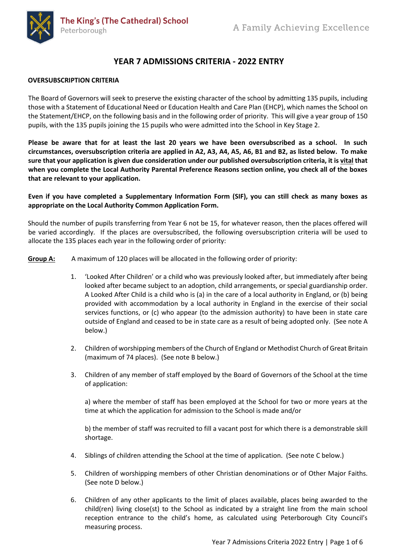

# **YEAR 7 ADMISSIONS CRITERIA - 2022 ENTRY**

#### **OVERSUBSCRIPTION CRITERIA**

The Board of Governors will seek to preserve the existing character of the school by admitting 135 pupils, including those with a Statement of Educational Need or Education Health and Care Plan (EHCP), which names the School on the Statement/EHCP, on the following basis and in the following order of priority. This will give a year group of 150 pupils, with the 135 pupils joining the 15 pupils who were admitted into the School in Key Stage 2.

**Please be aware that for at least the last 20 years we have been oversubscribed as a school. In such circumstances, oversubscription criteria are applied in A2, A3, A4, A5, A6, B1 and B2, as listed below. To make sure that your application is given due consideration under our published oversubscription criteria, it is vital that when you complete the Local Authority Parental Preference Reasons section online, you check all of the boxes that are relevant to your application.**

**Even if you have completed a Supplementary Information Form (SIF), you can still check as many boxes as appropriate on the Local Authority Common Application Form.**

Should the number of pupils transferring from Year 6 not be 15, for whatever reason, then the places offered will be varied accordingly. If the places are oversubscribed, the following oversubscription criteria will be used to allocate the 135 places each year in the following order of priority:

- **Group A:** A maximum of 120 places will be allocated in the following order of priority:
	- 1. 'Looked After Children' or a child who was previously looked after, but immediately after being looked after became subject to an adoption, child arrangements, or special guardianship order. A Looked After Child is a child who is (a) in the care of a local authority in England, or (b) being provided with accommodation by a local authority in England in the exercise of their social services functions, or (c) who appear (to the admission authority) to have been in state care outside of England and ceased to be in state care as a result of being adopted only. (See note A below.)
	- 2. Children of worshipping members of the Church of England or Methodist Church of Great Britain (maximum of 74 places). (See note B below.)
	- 3. Children of any member of staff employed by the Board of Governors of the School at the time of application:

a) where the member of staff has been employed at the School for two or more years at the time at which the application for admission to the School is made and/or

b) the member of staff was recruited to fill a vacant post for which there is a demonstrable skill shortage.

- 4. Siblings of children attending the School at the time of application. (See note C below.)
- 5. Children of worshipping members of other Christian denominations or of Other Major Faiths. (See note D below.)
- 6. Children of any other applicants to the limit of places available, places being awarded to the child(ren) living close(st) to the School as indicated by a straight line from the main school reception entrance to the child's home, as calculated using Peterborough City Council's measuring process.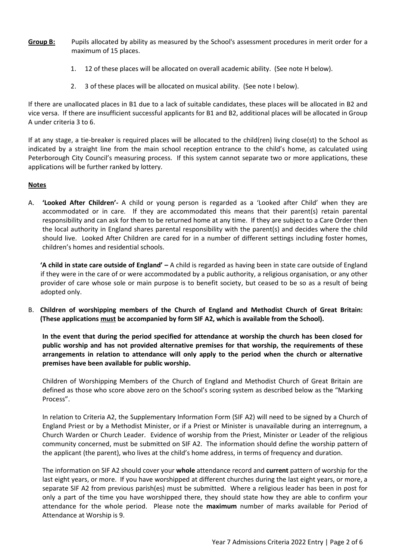- **Group B:** Pupils allocated by ability as measured by the School's assessment procedures in merit order for a maximum of 15 places.
	- 1. 12 of these places will be allocated on overall academic ability. (See note H below).
	- 2. 3 of these places will be allocated on musical ability. (See note I below).

If there are unallocated places in B1 due to a lack of suitable candidates, these places will be allocated in B2 and vice versa. If there are insufficient successful applicants for B1 and B2, additional places will be allocated in Group A under criteria 3 to 6.

If at any stage, a tie-breaker is required places will be allocated to the child(ren) living close(st) to the School as indicated by a straight line from the main school reception entrance to the child's home, as calculated using Peterborough City Council's measuring process. If this system cannot separate two or more applications, these applications will be further ranked by lottery.

#### **Notes**

A. **'Looked After Children'-** A child or young person is regarded as a 'Looked after Child' when they are accommodated or in care. If they are accommodated this means that their parent(s) retain parental responsibility and can ask for them to be returned home at any time. If they are subject to a Care Order then the local authority in England shares parental responsibility with the parent(s) and decides where the child should live. Looked After Children are cared for in a number of different settings including foster homes, children's homes and residential schools.

**'A child in state care outside of England' –** A child is regarded as having been in state care outside of England if they were in the care of or were accommodated by a public authority, a religious organisation, or any other provider of care whose sole or main purpose is to benefit society, but ceased to be so as a result of being adopted only.

B. **Children of worshipping members of the Church of England and Methodist Church of Great Britain: (These applications must be accompanied by form SIF A2, which is available from the School).**

**In the event that during the period specified for attendance at worship the church has been closed for public worship and has not provided alternative premises for that worship, the requirements of these arrangements in relation to attendance will only apply to the period when the church or alternative premises have been available for public worship.**

Children of Worshipping Members of the Church of England and Methodist Church of Great Britain are defined as those who score above zero on the School's scoring system as described below as the "Marking Process".

In relation to Criteria A2, the Supplementary Information Form (SIF A2) will need to be signed by a Church of England Priest or by a Methodist Minister, or if a Priest or Minister is unavailable during an interregnum, a Church Warden or Church Leader. Evidence of worship from the Priest, Minister or Leader of the religious community concerned, must be submitted on SIF A2. The information should define the worship pattern of the applicant (the parent), who lives at the child's home address, in terms of frequency and duration.

The information on SIF A2 should cover your **whole** attendance record and **current** pattern of worship for the last eight years, or more. If you have worshipped at different churches during the last eight years, or more, a separate SIF A2 from previous parish(es) must be submitted. Where a religious leader has been in post for only a part of the time you have worshipped there, they should state how they are able to confirm your attendance for the whole period. Please note the **maximum** number of marks available for Period of Attendance at Worship is 9.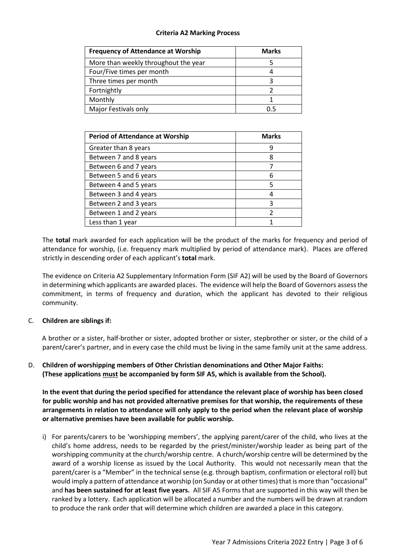## **Criteria A2 Marking Process**

| <b>Frequency of Attendance at Worship</b> | <b>Marks</b> |
|-------------------------------------------|--------------|
| More than weekly throughout the year      |              |
| Four/Five times per month                 |              |
| Three times per month                     |              |
| Fortnightly                               |              |
| Monthly                                   |              |
| Major Festivals only                      | ո 5          |

| <b>Period of Attendance at Worship</b> | <b>Marks</b> |
|----------------------------------------|--------------|
| Greater than 8 years                   | 9            |
| Between 7 and 8 years                  | 8            |
| Between 6 and 7 years                  |              |
| Between 5 and 6 years                  | h            |
| Between 4 and 5 years                  |              |
| Between 3 and 4 years                  |              |
| Between 2 and 3 years                  | ς            |
| Between 1 and 2 years                  |              |
| Less than 1 year                       |              |

The **total** mark awarded for each application will be the product of the marks for frequency and period of attendance for worship, (i.e. frequency mark multiplied by period of attendance mark). Places are offered strictly in descending order of each applicant's **total** mark.

The evidence on Criteria A2 Supplementary Information Form (SIF A2) will be used by the Board of Governors in determining which applicants are awarded places. The evidence will help the Board of Governors assess the commitment, in terms of frequency and duration, which the applicant has devoted to their religious community.

## C. **Children are siblings if:**

A brother or a sister, half-brother or sister, adopted brother or sister, stepbrother or sister, or the child of a parent/carer's partner, and in every case the child must be living in the same family unit at the same address.

D. **Children of worshipping members of Other Christian denominations and Other Major Faiths: (These applications must be accompanied by form SIF A5, which is available from the School).**

**In the event that during the period specified for attendance the relevant place of worship has been closed for public worship and has not provided alternative premises for that worship, the requirements of these arrangements in relation to attendance will only apply to the period when the relevant place of worship or alternative premises have been available for public worship.**

i) For parents/carers to be 'worshipping members', the applying parent/carer of the child, who lives at the child's home address, needs to be regarded by the priest/minister/worship leader as being part of the worshipping community at the church/worship centre. A church/worship centre will be determined by the award of a worship license as issued by the Local Authority. This would not necessarily mean that the parent/carer is a "Member" in the technical sense (e.g. through baptism, confirmation or electoral roll) but would imply a pattern of attendance at worship (on Sunday or at other times) that is more than "occasional" and **has been sustained for at least five years.** All SIF A5 Forms that are supported in this way will then be ranked by a lottery. Each application will be allocated a number and the numbers will be drawn at random to produce the rank order that will determine which children are awarded a place in this category.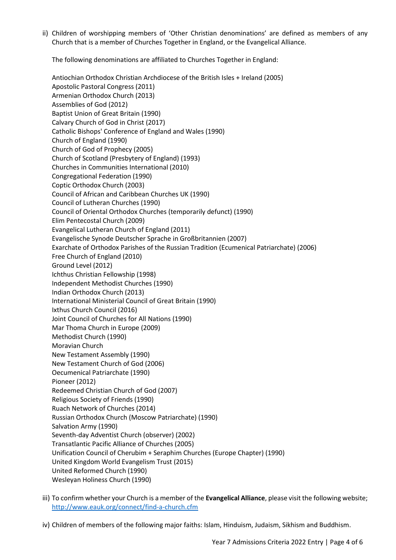ii) Children of worshipping members of 'Other Christian denominations' are defined as members of any Church that is a member of Churches Together in England, or the Evangelical Alliance.

The following denominations are affiliated to Churches Together in England:

Antiochian Orthodox Christian Archdiocese of the British Isles + Ireland (2005) Apostolic Pastoral Congress (2011) Armenian Orthodox Church (2013) Assemblies of God (2012) Baptist Union of Great Britain (1990) Calvary Church of God in Christ (2017) Catholic Bishops' Conference of England and Wales (1990) Church of England (1990) Church of God of Prophecy (2005) Church of Scotland (Presbytery of England) (1993) Churches in Communities International (2010) Congregational Federation (1990) Coptic Orthodox Church (2003) Council of African and Caribbean Churches UK (1990) Council of Lutheran Churches (1990) Council of Oriental Orthodox Churches (temporarily defunct) (1990) Elim Pentecostal Church (2009) Evangelical Lutheran Church of England (2011) Evangelische Synode Deutscher Sprache in Großbritannien (2007) Exarchate of Orthodox Parishes of the Russian Tradition (Ecumenical Patriarchate) (2006) Free Church of England (2010) Ground Level (2012) Ichthus Christian Fellowship (1998) Independent Methodist Churches (1990) Indian Orthodox Church (2013) International Ministerial Council of Great Britain (1990) Ixthus Church Council (2016) Joint Council of Churches for All Nations (1990) Mar Thoma Church in Europe (2009) Methodist Church (1990) Moravian Church New Testament Assembly (1990) New Testament Church of God (2006) Oecumenical Patriarchate (1990) Pioneer (2012) Redeemed Christian Church of God (2007) Religious Society of Friends (1990) Ruach Network of Churches (2014) Russian Orthodox Church (Moscow Patriarchate) (1990) Salvation Army (1990) Seventh-day Adventist Church (observer) (2002) Transatlantic Pacific Alliance of Churches (2005) Unification Council of Cherubim + Seraphim Churches (Europe Chapter) (1990) United Kingdom World Evangelism Trust (2015) United Reformed Church (1990) Wesleyan Holiness Church (1990)

- iii) To confirm whether your Church is a member of the **Evangelical Alliance**, please visit the following website; <http://www.eauk.org/connect/find-a-church.cfm>
- iv) Children of members of the following major faiths: Islam, Hinduism, Judaism, Sikhism and Buddhism.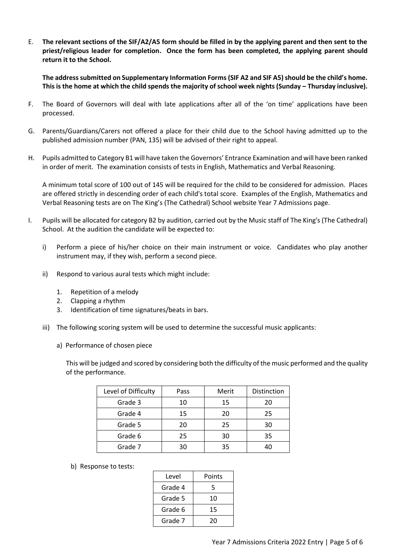E. **The relevant sections of the SIF/A2/A5 form should be filled in by the applying parent and then sent to the priest/religious leader for completion. Once the form has been completed, the applying parent should return it to the School.**

**The address submitted on Supplementary Information Forms(SIF A2 and SIF A5) should be the child's home. This is the home at which the child spends the majority of school week nights (Sunday – Thursday inclusive).** 

- F. The Board of Governors will deal with late applications after all of the 'on time' applications have been processed.
- G. Parents/Guardians/Carers not offered a place for their child due to the School having admitted up to the published admission number (PAN, 135) will be advised of their right to appeal.
- H. Pupils admitted to Category B1 will have taken the Governors' Entrance Examination and will have been ranked in order of merit. The examination consists of tests in English, Mathematics and Verbal Reasoning.

A minimum total score of 100 out of 145 will be required for the child to be considered for admission. Places are offered strictly in descending order of each child's total score. Examples of the English, Mathematics and Verbal Reasoning tests are on The King's (The Cathedral) School website Year 7 Admissions page.

- I. Pupils will be allocated for category B2 by audition, carried out by the Music staff of The King's (The Cathedral) School. At the audition the candidate will be expected to:
	- i) Perform a piece of his/her choice on their main instrument or voice. Candidates who play another instrument may, if they wish, perform a second piece.
	- ii) Respond to various aural tests which might include:
		- 1. Repetition of a melody
		- 2. Clapping a rhythm
		- 3. Identification of time signatures/beats in bars.
	- iii) The following scoring system will be used to determine the successful music applicants:
		- a) Performance of chosen piece

This will be judged and scored by considering both the difficulty of the music performed and the quality of the performance.

| Level of Difficulty | Pass | Merit | Distinction |
|---------------------|------|-------|-------------|
| Grade 3             | 10   | 15    | 20          |
| Grade 4             | 15   | 20    | 25          |
| Grade 5             | 20   | 25    | 30          |
| Grade 6             | 25   | 30    | 35          |
| Grade 7             | 30   | 35    | 40          |

b) Response to tests:

| Level   | Points |
|---------|--------|
| Grade 4 | 5      |
| Grade 5 | 10     |
| Grade 6 | 15     |
| Grade 7 | 20     |